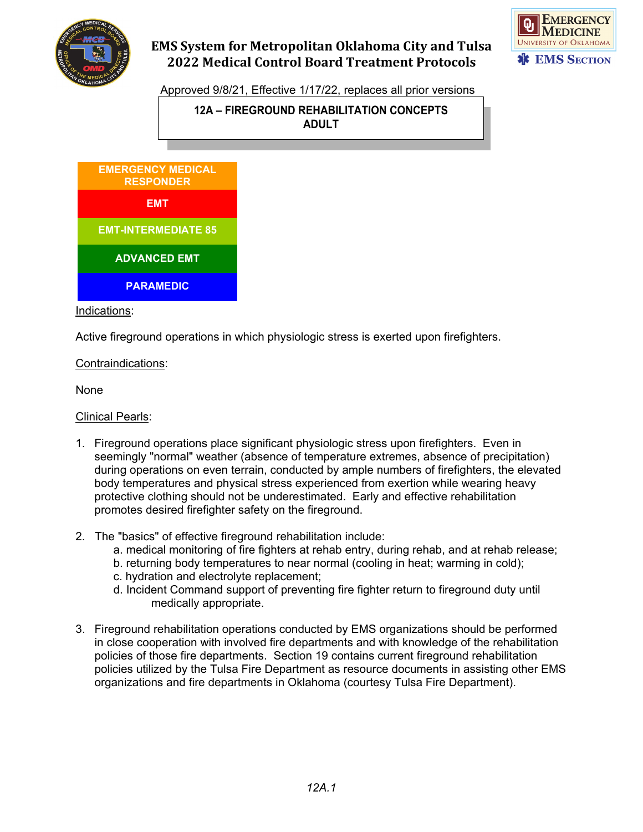

# **EMS System for Metropolitan Oklahoma City and Tulsa 2022 Medical Control Board Treatment Protocols**



Approved 9/8/21, Effective 1/17/22, replaces all prior versions

### **12A – FIREGROUND REHABILITATION CONCEPTS ADULT**



Indications:

Active fireground operations in which physiologic stress is exerted upon firefighters.

#### Contraindications:

None

Clinical Pearls:

- 1. Fireground operations place significant physiologic stress upon firefighters. Even in seemingly "normal" weather (absence of temperature extremes, absence of precipitation) during operations on even terrain, conducted by ample numbers of firefighters, the elevated body temperatures and physical stress experienced from exertion while wearing heavy protective clothing should not be underestimated. Early and effective rehabilitation promotes desired firefighter safety on the fireground.
- 2. The "basics" of effective fireground rehabilitation include:
	- a. medical monitoring of fire fighters at rehab entry, during rehab, and at rehab release;
	- b. returning body temperatures to near normal (cooling in heat; warming in cold);
	- c. hydration and electrolyte replacement;
	- d. Incident Command support of preventing fire fighter return to fireground duty until medically appropriate.
- 3. Fireground rehabilitation operations conducted by EMS organizations should be performed in close cooperation with involved fire departments and with knowledge of the rehabilitation policies of those fire departments. Section 19 contains current fireground rehabilitation policies utilized by the Tulsa Fire Department as resource documents in assisting other EMS organizations and fire departments in Oklahoma (courtesy Tulsa Fire Department).